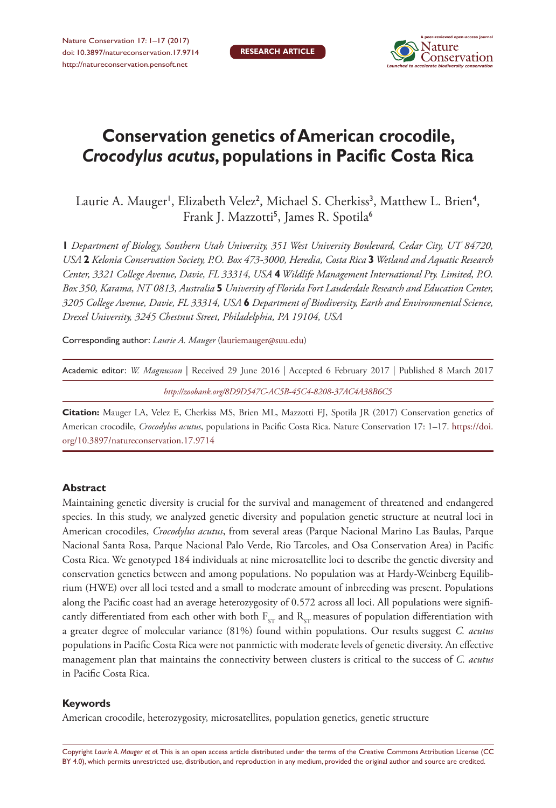Nature Conservation 17: 1–17 (2017) [doi: 10.3897/natureconservation.17.9714](https://doi.org/10.3897/natureconservation.17.9714) <http://natureconservation.pensoft.net>



# **Conservation genetics of American crocodile,**  *Crocodylus acutus***, populations in Pacific Costa Rica**

Laurie A. Mauger', Elizabeth Velez<sup>2</sup>, Michael S. Cherkiss<sup>3</sup>, Matthew L. Brien<sup>4</sup>, Frank J. Mazzotti<sup>5</sup>, James R. Spotila<sup>6</sup>

**1** *Department of Biology, Southern Utah University, 351 West University Boulevard, Cedar City, UT 84720, USA* **2** *Kelonia Conservation Society, P.O. Box 473-3000, Heredia, Costa Rica* **3** *Wetland and Aquatic Research Center, 3321 College Avenue, Davie, FL 33314, USA* **4** *Wildlife Management International Pty. Limited, P.O. Box 350, Karama, NT 0813, Australia* **5** *University of Florida Fort Lauderdale Research and Education Center, 3205 College Avenue, Davie, FL 33314, USA* **6** *Department of Biodiversity, Earth and Environmental Science, Drexel University, 3245 Chestnut Street, Philadelphia, PA 19104, USA*

Corresponding author: *Laurie A. Mauger* ([lauriemauger@suu.edu\)](mailto:lauriemauger@suu.edu)

| Academic editor: W. Magnusson   Received 29 June 2016   Accepted 6 February 2017   Published 8 March 2017 |
|-----------------------------------------------------------------------------------------------------------|
| http://zoobank.org/8D9D547C-AC5B-45C4-8208-37AC4A38B6C5                                                   |

**Citation:** Mauger LA, Velez E, Cherkiss MS, Brien ML, Mazzotti FJ, Spotila JR (2017) Conservation genetics of American crocodile, *Crocodylus acutus*, populations in Pacific Costa Rica. Nature Conservation 17: 1–17. [https://doi.](https://doi.org/10.3897/natureconservation.17.9714) [org/10.3897/natureconservation.17.9714](https://doi.org/10.3897/natureconservation.17.9714)

#### **Abstract**

Maintaining genetic diversity is crucial for the survival and management of threatened and endangered species. In this study, we analyzed genetic diversity and population genetic structure at neutral loci in American crocodiles, *Crocodylus acutus*, from several areas (Parque Nacional Marino Las Baulas, Parque Nacional Santa Rosa, Parque Nacional Palo Verde, Rio Tarcoles, and Osa Conservation Area) in Pacific Costa Rica. We genotyped 184 individuals at nine microsatellite loci to describe the genetic diversity and conservation genetics between and among populations. No population was at Hardy-Weinberg Equilibrium (HWE) over all loci tested and a small to moderate amount of inbreeding was present. Populations along the Pacific coast had an average heterozygosity of 0.572 across all loci. All populations were significantly differentiated from each other with both  $F_{ST}$  and  $R_{ST}$  measures of population differentiation with a greater degree of molecular variance (81%) found within populations. Our results suggest *C. acutus*  populations in Pacific Costa Rica were not panmictic with moderate levels of genetic diversity. An effective management plan that maintains the connectivity between clusters is critical to the success of *C. acutus* in Pacific Costa Rica.

#### **Keywords**

American crocodile, heterozygosity, microsatellites, population genetics, genetic structure

Copyright *Laurie A. Mauger et al.* This is an open access article distributed under the terms of the [Creative Commons Attribution License \(CC](http://creativecommons.org/licenses/by/4.0/)  [BY 4.0\)](http://creativecommons.org/licenses/by/4.0/), which permits unrestricted use, distribution, and reproduction in any medium, provided the original author and source are credited.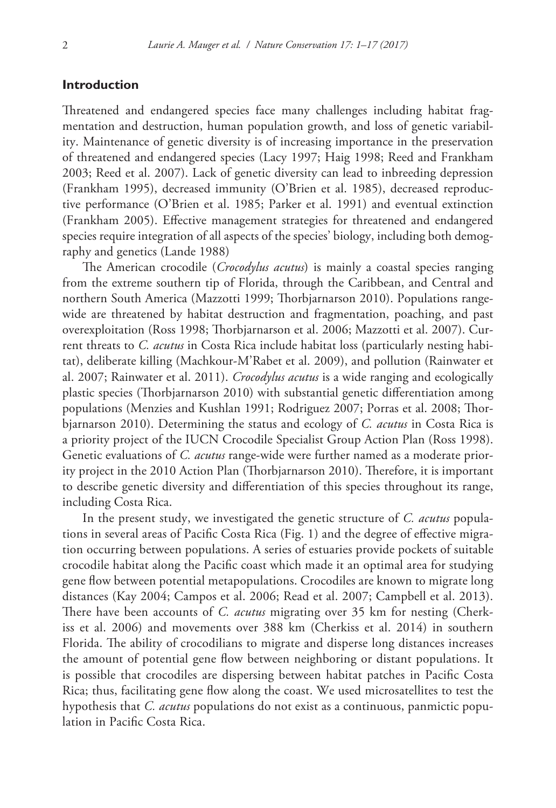## **Introduction**

Threatened and endangered species face many challenges including habitat fragmentation and destruction, human population growth, and loss of genetic variability. Maintenance of genetic diversity is of increasing importance in the preservation of threatened and endangered species (Lacy 1997; Haig 1998; Reed and Frankham 2003; Reed et al. 2007). Lack of genetic diversity can lead to inbreeding depression (Frankham 1995), decreased immunity (O'Brien et al. 1985), decreased reproductive performance (O'Brien et al. 1985; Parker et al. 1991) and eventual extinction (Frankham 2005). Effective management strategies for threatened and endangered species require integration of all aspects of the species' biology, including both demography and genetics (Lande 1988)

The American crocodile (*Crocodylus acutus*) is mainly a coastal species ranging from the extreme southern tip of Florida, through the Caribbean, and Central and northern South America (Mazzotti 1999; Thorbjarnarson 2010). Populations rangewide are threatened by habitat destruction and fragmentation, poaching, and past overexploitation (Ross 1998; Thorbjarnarson et al. 2006; Mazzotti et al. 2007). Current threats to *C. acutus* in Costa Rica include habitat loss (particularly nesting habitat), deliberate killing (Machkour-M'Rabet et al. 2009), and pollution (Rainwater et al. 2007; Rainwater et al. 2011). *Crocodylus acutus* is a wide ranging and ecologically plastic species (Thorbjarnarson 2010) with substantial genetic differentiation among populations (Menzies and Kushlan 1991; Rodriguez 2007; Porras et al. 2008; Thorbjarnarson 2010). Determining the status and ecology of *C. acutus* in Costa Rica is a priority project of the IUCN Crocodile Specialist Group Action Plan (Ross 1998). Genetic evaluations of *C. acutus* range-wide were further named as a moderate priority project in the 2010 Action Plan (Thorbjarnarson 2010). Therefore, it is important to describe genetic diversity and differentiation of this species throughout its range, including Costa Rica.

In the present study, we investigated the genetic structure of *C. acutus* populations in several areas of Pacific Costa Rica (Fig. 1) and the degree of effective migration occurring between populations. A series of estuaries provide pockets of suitable crocodile habitat along the Pacific coast which made it an optimal area for studying gene flow between potential metapopulations. Crocodiles are known to migrate long distances (Kay 2004; Campos et al. 2006; Read et al. 2007; Campbell et al. 2013). There have been accounts of *C. acutus* migrating over 35 km for nesting (Cherkiss et al. 2006) and movements over 388 km (Cherkiss et al. 2014) in southern Florida. The ability of crocodilians to migrate and disperse long distances increases the amount of potential gene flow between neighboring or distant populations. It is possible that crocodiles are dispersing between habitat patches in Pacific Costa Rica; thus, facilitating gene flow along the coast. We used microsatellites to test the hypothesis that *C. acutus* populations do not exist as a continuous, panmictic population in Pacific Costa Rica.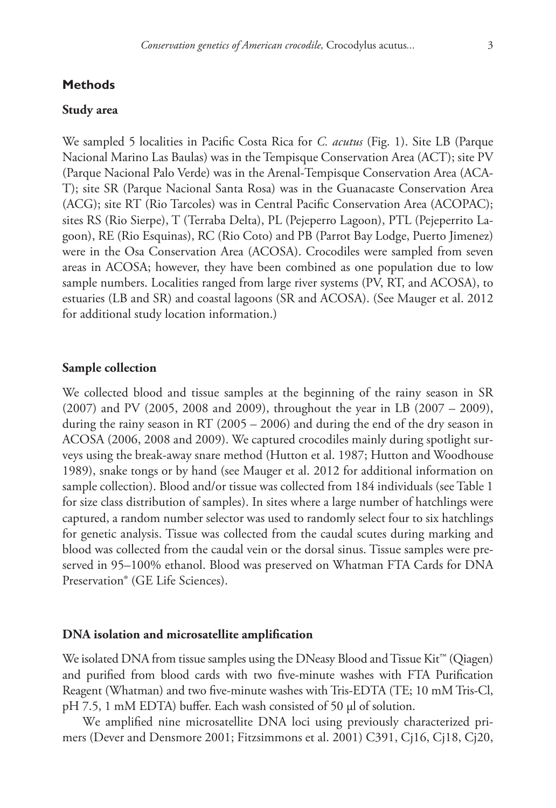## **Methods**

## **Study area**

We sampled 5 localities in Pacific Costa Rica for *C. acutus* (Fig. 1). Site LB (Parque Nacional Marino Las Baulas) was in the Tempisque Conservation Area (ACT); site PV (Parque Nacional Palo Verde) was in the Arenal-Tempisque Conservation Area (ACA-T); site SR (Parque Nacional Santa Rosa) was in the Guanacaste Conservation Area (ACG); site RT (Rio Tarcoles) was in Central Pacific Conservation Area (ACOPAC); sites RS (Rio Sierpe), T (Terraba Delta), PL (Pejeperro Lagoon), PTL (Pejeperrito Lagoon), RE (Rio Esquinas), RC (Rio Coto) and PB (Parrot Bay Lodge, Puerto Jimenez) were in the Osa Conservation Area (ACOSA). Crocodiles were sampled from seven areas in ACOSA; however, they have been combined as one population due to low sample numbers. Localities ranged from large river systems (PV, RT, and ACOSA), to estuaries (LB and SR) and coastal lagoons (SR and ACOSA). (See Mauger et al. 2012 for additional study location information.)

# **Sample collection**

We collected blood and tissue samples at the beginning of the rainy season in SR (2007) and PV (2005, 2008 and 2009), throughout the year in LB (2007 – 2009), during the rainy season in RT (2005 – 2006) and during the end of the dry season in ACOSA (2006, 2008 and 2009). We captured crocodiles mainly during spotlight surveys using the break-away snare method (Hutton et al. 1987; Hutton and Woodhouse 1989), snake tongs or by hand (see Mauger et al. 2012 for additional information on sample collection). Blood and/or tissue was collected from 184 individuals (see Table 1 for size class distribution of samples). In sites where a large number of hatchlings were captured, a random number selector was used to randomly select four to six hatchlings for genetic analysis. Tissue was collected from the caudal scutes during marking and blood was collected from the caudal vein or the dorsal sinus. Tissue samples were preserved in 95–100% ethanol. Blood was preserved on Whatman FTA Cards for DNA Preservation® (GE Life Sciences).

## **DNA isolation and microsatellite amplification**

We isolated DNA from tissue samples using the DNeasy Blood and Tissue Kit™ (Qiagen) and purified from blood cards with two five-minute washes with FTA Purification Reagent (Whatman) and two five-minute washes with Tris-EDTA (TE; 10 mM Tris-Cl, pH 7.5, 1 mM EDTA) buffer. Each wash consisted of 50 µl of solution.

We amplified nine microsatellite DNA loci using previously characterized primers (Dever and Densmore 2001; Fitzsimmons et al. 2001) C391, Cj16, Cj18, Cj20,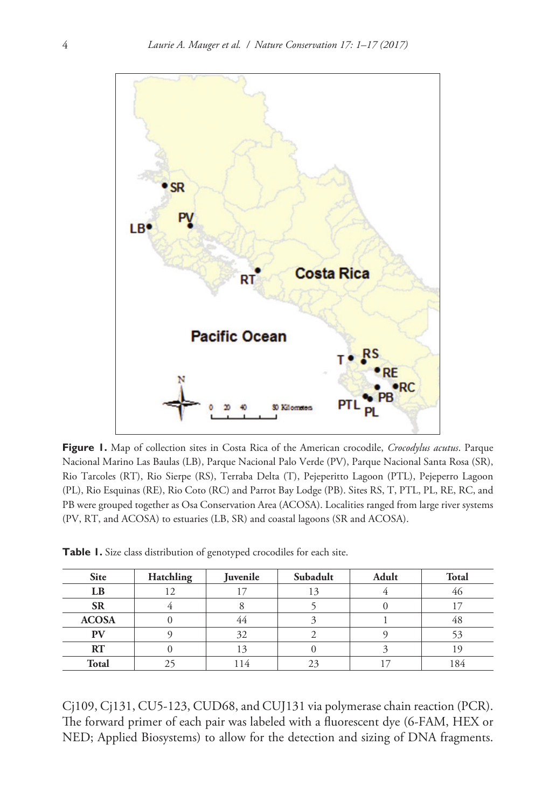

**Figure 1.** Map of collection sites in Costa Rica of the American crocodile, *Crocodylus acutus*. Parque Nacional Marino Las Baulas (LB), Parque Nacional Palo Verde (PV), Parque Nacional Santa Rosa (SR), Rio Tarcoles (RT), Rio Sierpe (RS), Terraba Delta (T), Pejeperitto Lagoon (PTL), Pejeperro Lagoon (PL), Rio Esquinas (RE), Rio Coto (RC) and Parrot Bay Lodge (PB). Sites RS, T, PTL, PL, RE, RC, and PB were grouped together as Osa Conservation Area (ACOSA). Localities ranged from large river systems (PV, RT, and ACOSA) to estuaries (LB, SR) and coastal lagoons (SR and ACOSA).

| <b>Site</b>  | Hatchling | Juvenile       | Subadult | Adult | <b>Total</b> |
|--------------|-----------|----------------|----------|-------|--------------|
| LB           |           |                |          |       | 40           |
| <b>SR</b>    |           |                |          |       |              |
| <b>ACOSA</b> |           | 44             |          |       | 48           |
| PV           |           | 32             |          |       |              |
| RT           |           | 13             |          |       |              |
| <b>Total</b> |           | $\overline{4}$ |          |       | 184          |

**Table 1.** Size class distribution of genotyped crocodiles for each site.

Cj109, Cj131, CU5-123, CUD68, and CUJ131 via polymerase chain reaction (PCR). The forward primer of each pair was labeled with a fluorescent dye (6-FAM, HEX or NED; Applied Biosystems) to allow for the detection and sizing of DNA fragments.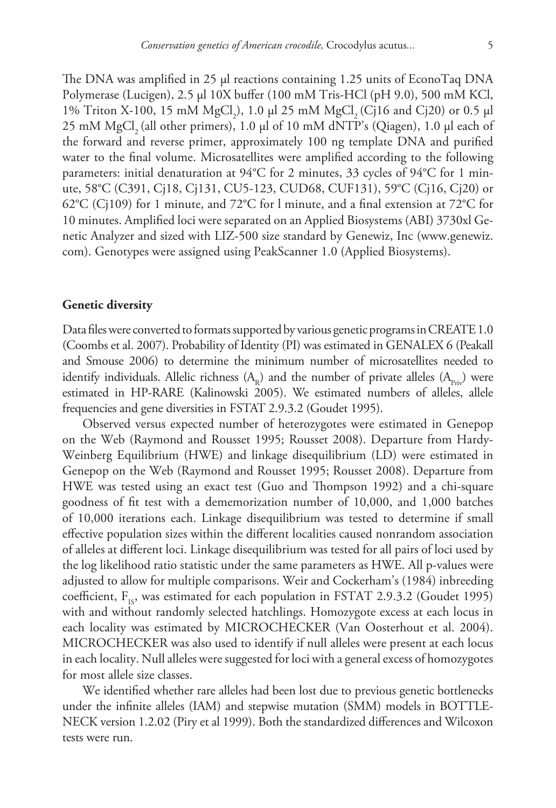The DNA was amplified in 25 µl reactions containing 1.25 units of EconoTaq DNA Polymerase (Lucigen), 2.5 µl 10X buffer (100 mM Tris-HCl (pH 9.0), 500 mM KCl, 1% Triton X-100, 15 mM  $MgCl_2$ ), 1.0 µl 25 mM  $MgCl_2$  (Cj16 and Cj20) or 0.5 µl  $25 \text{ mM MgCl}$ , (all other primers),  $1.0 \mu$ l of  $10 \text{ mM dNTP's (Qiagen)}$ ,  $1.0 \mu$ l each of the forward and reverse primer, approximately 100 ng template DNA and purified water to the final volume. Microsatellites were amplified according to the following parameters: initial denaturation at 94°C for 2 minutes, 33 cycles of 94°C for 1 minute, 58°C (C391, Cj18, Cj131, CU5-123, CUD68, CUF131), 59°C (Cj16, Cj20) or 62°C (Cj109) for 1 minute, and 72°C for l minute, and a final extension at 72°C for 10 minutes. Amplified loci were separated on an Applied Biosystems (ABI) 3730xl Genetic Analyzer and sized with LIZ-500 size standard by Genewiz, Inc [\(www.genewiz.](http://www.genewiz.com) [com\)](http://www.genewiz.com). Genotypes were assigned using PeakScanner 1.0 (Applied Biosystems).

#### **Genetic diversity**

Data files were converted to formats supported by various genetic programs in CREATE 1.0 (Coombs et al. 2007). Probability of Identity (PI) was estimated in GENALEX 6 (Peakall and Smouse 2006) to determine the minimum number of microsatellites needed to identify individuals. Allelic richness  $(A_p)$  and the number of private alleles  $(A_{p_{min}})$  were estimated in HP-RARE (Kalinowski 2005). We estimated numbers of alleles, allele frequencies and gene diversities in FSTAT 2.9.3.2 (Goudet 1995).

Observed versus expected number of heterozygotes were estimated in Genepop on the Web (Raymond and Rousset 1995; Rousset 2008). Departure from Hardy-Weinberg Equilibrium (HWE) and linkage disequilibrium (LD) were estimated in Genepop on the Web (Raymond and Rousset 1995; Rousset 2008). Departure from HWE was tested using an exact test (Guo and Thompson 1992) and a chi-square goodness of fit test with a dememorization number of 10,000, and 1,000 batches of 10,000 iterations each. Linkage disequilibrium was tested to determine if small effective population sizes within the different localities caused nonrandom association of alleles at different loci. Linkage disequilibrium was tested for all pairs of loci used by the log likelihood ratio statistic under the same parameters as HWE. All p-values were adjusted to allow for multiple comparisons. Weir and Cockerham's (1984) inbreeding coefficient,  $F_{1S}$ , was estimated for each population in FSTAT 2.9.3.2 (Goudet 1995) with and without randomly selected hatchlings. Homozygote excess at each locus in each locality was estimated by MICROCHECKER (Van Oosterhout et al. 2004). MICROCHECKER was also used to identify if null alleles were present at each locus in each locality. Null alleles were suggested for loci with a general excess of homozygotes for most allele size classes.

We identified whether rare alleles had been lost due to previous genetic bottlenecks under the infinite alleles (IAM) and stepwise mutation (SMM) models in BOTTLE-NECK version 1.2.02 (Piry et al 1999). Both the standardized differences and Wilcoxon tests were run.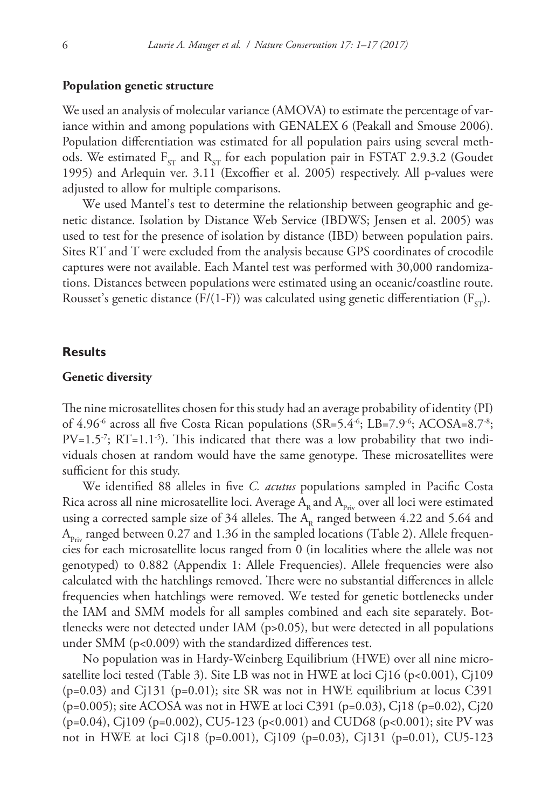#### **Population genetic structure**

We used an analysis of molecular variance (AMOVA) to estimate the percentage of variance within and among populations with GENALEX 6 (Peakall and Smouse 2006). Population differentiation was estimated for all population pairs using several methods. We estimated  $F_{ST}$  and  $R_{ST}$  for each population pair in FSTAT 2.9.3.2 (Goudet 1995) and Arlequin ver. 3.11 (Excoffier et al. 2005) respectively. All p-values were adjusted to allow for multiple comparisons.

We used Mantel's test to determine the relationship between geographic and genetic distance. Isolation by Distance Web Service (IBDWS; Jensen et al. 2005) was used to test for the presence of isolation by distance (IBD) between population pairs. Sites RT and T were excluded from the analysis because GPS coordinates of crocodile captures were not available. Each Mantel test was performed with 30,000 randomizations. Distances between populations were estimated using an oceanic/coastline route. Rousset's genetic distance (F/(1-F)) was calculated using genetic differentiation ( $F_{ST}$ ).

## **Results**

#### **Genetic diversity**

The nine microsatellites chosen for this study had an average probability of identity (PI) of 4.96 $^6$  across all five Costa Rican populations (SR=5.4 $^6$ ; LB=7.9 $^6$ ; ACOSA=8.7 $^8$ ;  $PV=1.5^{7}$ ;  $RT=1.1^{5}$ ). This indicated that there was a low probability that two individuals chosen at random would have the same genotype. These microsatellites were sufficient for this study.

We identified 88 alleles in five *C. acutus* populations sampled in Pacific Costa Rica across all nine microsatellite loci. Average  $A<sub>R</sub>$  and  $A<sub>priv</sub>$  over all loci were estimated using a corrected sample size of 34 alleles. The  $A<sub>R</sub>$  ranged between 4.22 and 5.64 and  $A_{p_{\text{riv}}}$  ranged between 0.27 and 1.36 in the sampled locations (Table 2). Allele frequencies for each microsatellite locus ranged from 0 (in localities where the allele was not genotyped) to 0.882 (Appendix 1: Allele Frequencies). Allele frequencies were also calculated with the hatchlings removed. There were no substantial differences in allele frequencies when hatchlings were removed. We tested for genetic bottlenecks under the IAM and SMM models for all samples combined and each site separately. Bottlenecks were not detected under IAM (p>0.05), but were detected in all populations under SMM (p<0.009) with the standardized differences test.

No population was in Hardy-Weinberg Equilibrium (HWE) over all nine microsatellite loci tested (Table 3). Site LB was not in HWE at loci Ci16 (p<0.001), Ci109 (p=0.03) and Cj131 (p=0.01); site SR was not in HWE equilibrium at locus C391 (p=0.005); site ACOSA was not in HWE at loci C391 (p=0.03), Cj18 (p=0.02), Cj20 (p=0.04), Cj109 (p=0.002), CU5-123 (p<0.001) and CUD68 (p<0.001); site PV was not in HWE at loci Cj18 (p=0.001), Cj109 (p=0.03), Cj131 (p=0.01), CU5-123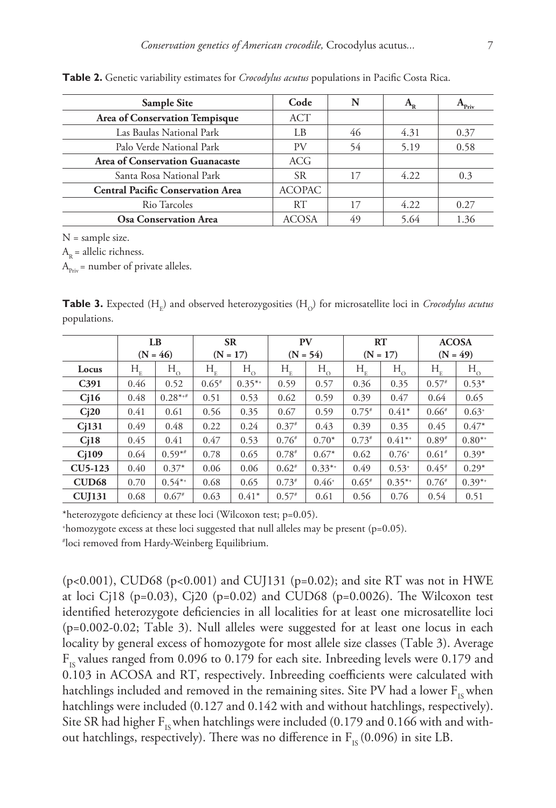| <b>Sample Site</b>                       | Code          | N  |      | <sup>*</sup> Priv |
|------------------------------------------|---------------|----|------|-------------------|
| Area of Conservation Tempisque           | ACT           |    |      |                   |
| Las Baulas National Park                 | I B           | 46 | 4.31 | 0.37              |
| Palo Verde National Park                 | PV            | 54 | 5.19 | 0.58              |
| Area of Conservation Guanacaste          | <b>ACG</b>    |    |      |                   |
| Santa Rosa National Park                 | SR.           | 17 | 4.22 | 0.3               |
| <b>Central Pacific Conservation Area</b> | <b>ACOPAC</b> |    |      |                   |
| Rio Tarcoles                             | RT.           | 17 | 4.22 | 0.27              |
| <b>Osa Conservation Area</b>             | <b>ACOSA</b>  |    | 5.64 | 1.36              |

**Table 2.** Genetic variability estimates for *Crocodylus acutus* populations in Pacific Costa Rica.

N = sample size.

 $A_p$  = allelic richness.

 $A_{\text{priv}}$  = number of private alleles.

**Table 3.** Expected (H<sub>e</sub>) and observed heterozygosities (H<sub>o</sub>) for microsatellite loci in *Crocodylus acutus* populations.

|                   |                | $_{LB}$<br>$(N = 46)$ |                               | <b>SR</b><br>$(N = 17)$ |                                | <b>PV</b><br>$(N = 54)$ |             | RT<br>$(N = 17)$ |                               | <b>ACOSA</b><br>$(N = 49)$ |
|-------------------|----------------|-----------------------|-------------------------------|-------------------------|--------------------------------|-------------------------|-------------|------------------|-------------------------------|----------------------------|
|                   |                |                       |                               |                         |                                |                         |             |                  |                               |                            |
| Locus             | $\rm H_{_{E}}$ | $H_{\alpha}$          | $H_{\scriptscriptstyle\rm E}$ | $H_{\alpha}$            | $\rm H_{\scriptscriptstyle R}$ | $H_{O}$                 | $H_{\rm E}$ | $H_{\alpha}$     | $H_{\scriptscriptstyle\rm E}$ | $H_{\alpha}$               |
| C <sub>391</sub>  | 0.46           | 0.52                  | $0.65*$                       | $0.35**$                | 0.59                           | 0.57                    | 0.36        | 0.35             | $0.57^{*}$                    | $0.53*$                    |
| Ci16              | 0.48           | $0.28***$             | 0.51                          | 0.53                    | 0.62                           | 0.59                    | 0.39        | 0.47             | 0.64                          | 0.65                       |
| Ci20              | 0.41           | 0.61                  | 0.56                          | 0.35                    | 0.67                           | 0.59                    | $0.75*$     | $0.41*$          | $0.66*$                       | $0.63*$                    |
| Ci131             | 0.49           | 0.48                  | 0.22                          | 0.24                    | $0.37$ #                       | 0.43                    | 0.39        | 0.35             | 0.45                          | $0.47*$                    |
| Ci18              | 0.45           | 0.41                  | 0.47                          | 0.53                    | $0.76*$                        | $0.70*$                 | $0.73*$     | $0.41**$         | $0.89*$                       | $0.80**$                   |
| Ci109             | 0.64           | $0.59**$              | 0.78                          | 0.65                    | $0.78^{*}$                     | $0.67*$                 | 0.62        | $0.76*$          | $0.61*$                       | $0.39*$                    |
| $CU5-123$         | 0.40           | $0.37*$               | 0.06                          | 0.06                    | $0.62*$                        | $0.33**$                | 0.49        | $0.53+$          | $0.45*$                       | $0.29*$                    |
| CUD <sub>68</sub> | 0.70           | $0.54**$              | 0.68                          | 0.65                    | $0.73*$                        | $0.46*$                 | $0.65*$     | $0.35**$         | $0.76*$                       | $0.39**$                   |
| <b>CUJ131</b>     | 0.68           | $0.67*$               | 0.63                          | $0.41*$                 | $0.57$ #                       | 0.61                    | 0.56        | 0.76             | 0.54                          | 0.51                       |

\*heterozygote deficiency at these loci (Wilcoxon test; p=0.05).

+ homozygote excess at these loci suggested that null alleles may be present (p=0.05).

# loci removed from Hardy-Weinberg Equilibrium.

(p<0.001), CUD68 (p<0.001) and CUJ131 (p=0.02); and site RT was not in HWE at loci Cj18 (p=0.03), Cj20 (p=0.02) and CUD68 (p=0.0026). The Wilcoxon test identified heterozygote deficiencies in all localities for at least one microsatellite loci (p=0.002-0.02; Table 3). Null alleles were suggested for at least one locus in each locality by general excess of homozygote for most allele size classes (Table 3). Average  $F_{15}$  values ranged from 0.096 to 0.179 for each site. Inbreeding levels were 0.179 and 0.103 in ACOSA and RT, respectively. Inbreeding coefficients were calculated with hatchlings included and removed in the remaining sites. Site PV had a lower  $F_{1s}$  when hatchlings were included (0.127 and 0.142 with and without hatchlings, respectively). Site SR had higher  $F_{1s}$  when hatchlings were included (0.179 and 0.166 with and without hatchlings, respectively). There was no difference in  $F_{IS}$  (0.096) in site LB.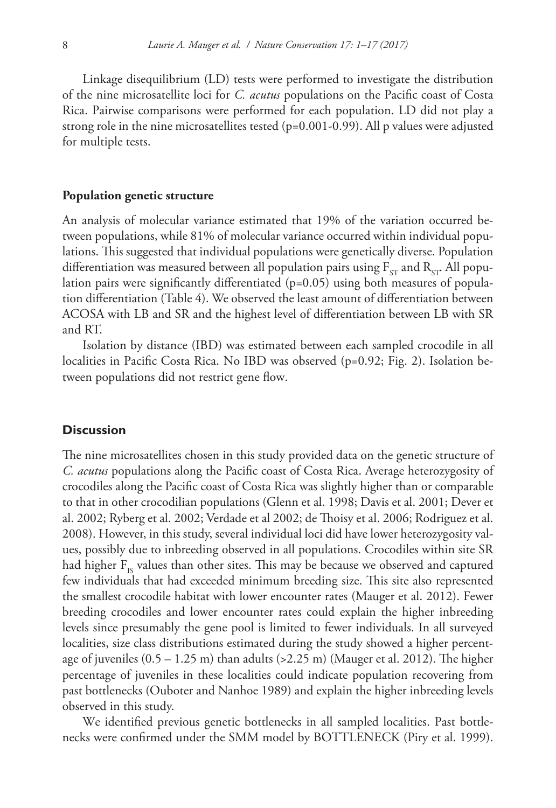Linkage disequilibrium (LD) tests were performed to investigate the distribution of the nine microsatellite loci for *C. acutus* populations on the Pacific coast of Costa Rica. Pairwise comparisons were performed for each population. LD did not play a strong role in the nine microsatellites tested  $(p=0.001-0.99)$ . All p values were adjusted for multiple tests.

## **Population genetic structure**

An analysis of molecular variance estimated that 19% of the variation occurred between populations, while 81% of molecular variance occurred within individual populations. This suggested that individual populations were genetically diverse. Population differentiation was measured between all population pairs using  $F_{cr}$  and  $R_{cr}$ . All population pairs were significantly differentiated (p=0.05) using both measures of population differentiation (Table 4). We observed the least amount of differentiation between ACOSA with LB and SR and the highest level of differentiation between LB with SR and RT.

Isolation by distance (IBD) was estimated between each sampled crocodile in all localities in Pacific Costa Rica. No IBD was observed (p=0.92; Fig. 2). Isolation between populations did not restrict gene flow.

## **Discussion**

The nine microsatellites chosen in this study provided data on the genetic structure of *C. acutus* populations along the Pacific coast of Costa Rica. Average heterozygosity of crocodiles along the Pacific coast of Costa Rica was slightly higher than or comparable to that in other crocodilian populations (Glenn et al. 1998; Davis et al. 2001; Dever et al. 2002; Ryberg et al. 2002; Verdade et al 2002; de Thoisy et al. 2006; Rodriguez et al. 2008). However, in this study, several individual loci did have lower heterozygosity values, possibly due to inbreeding observed in all populations. Crocodiles within site SR had higher  $F_{IS}$  values than other sites. This may be because we observed and captured few individuals that had exceeded minimum breeding size. This site also represented the smallest crocodile habitat with lower encounter rates (Mauger et al. 2012). Fewer breeding crocodiles and lower encounter rates could explain the higher inbreeding levels since presumably the gene pool is limited to fewer individuals. In all surveyed localities, size class distributions estimated during the study showed a higher percentage of juveniles (0.5 – 1.25 m) than adults (>2.25 m) (Mauger et al. 2012). The higher percentage of juveniles in these localities could indicate population recovering from past bottlenecks (Ouboter and Nanhoe 1989) and explain the higher inbreeding levels observed in this study.

We identified previous genetic bottlenecks in all sampled localities. Past bottlenecks were confirmed under the SMM model by BOTTLENECK (Piry et al. 1999).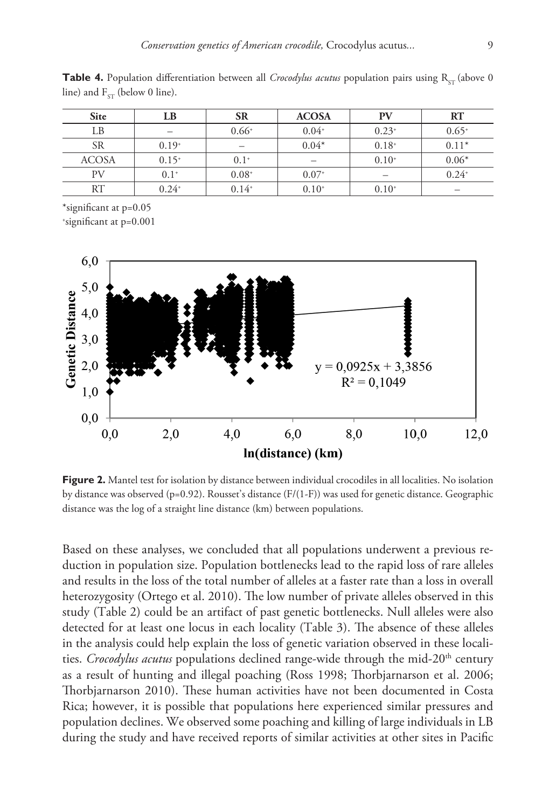| LB                       | <b>SR</b> | <b>ACOSA</b> | PV                       | RT      |
|--------------------------|-----------|--------------|--------------------------|---------|
| $\overline{\phantom{a}}$ | $0.66*$   | $0.04*$      | $0.23*$                  | $0.65*$ |
| $0.19^{+}$               | -         | $0.04*$      | $0.18^{+}$               | $0.11*$ |
| $0.15^{+}$               | $0.1^+$   | -            | $0.10^{+}$               | $0.06*$ |
| $0.1^+$                  | $0.08*$   | $0.07^*$     | $\overline{\phantom{a}}$ | $0.24*$ |
| $0.24+$                  | $0.14*$   | $0.10^{+}$   | $0.10*$                  | -       |
|                          |           |              |                          |         |

**Table 4.** Population differentiation between all *Crocodylus acutus* population pairs using R<sub>ST</sub> (above 0) line) and  $F_{ST}$  (below 0 line).

\*significant at p=0.05

+ significant at p=0.001



**Figure 2.** Mantel test for isolation by distance between individual crocodiles in all localities. No isolation by distance was observed (p=0.92). Rousset's distance  $(F/(1-F))$  was used for genetic distance. Geographic distance was the log of a straight line distance (km) between populations.

Based on these analyses, we concluded that all populations underwent a previous reduction in population size. Population bottlenecks lead to the rapid loss of rare alleles and results in the loss of the total number of alleles at a faster rate than a loss in overall heterozygosity (Ortego et al. 2010). The low number of private alleles observed in this study (Table 2) could be an artifact of past genetic bottlenecks. Null alleles were also detected for at least one locus in each locality (Table 3). The absence of these alleles in the analysis could help explain the loss of genetic variation observed in these localities. *Crocodylus acutus* populations declined range-wide through the mid-20<sup>th</sup> century as a result of hunting and illegal poaching (Ross 1998; Thorbjarnarson et al. 2006; Thorbjarnarson 2010). These human activities have not been documented in Costa Rica; however, it is possible that populations here experienced similar pressures and population declines. We observed some poaching and killing of large individuals in LB during the study and have received reports of similar activities at other sites in Pacific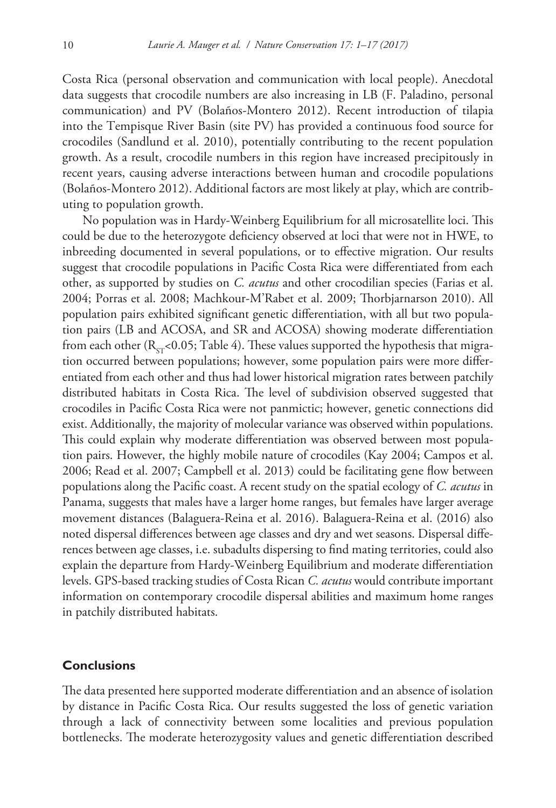Costa Rica (personal observation and communication with local people). Anecdotal data suggests that crocodile numbers are also increasing in LB (F. Paladino, personal communication) and PV (Bolaños-Montero 2012). Recent introduction of tilapia into the Tempisque River Basin (site PV) has provided a continuous food source for crocodiles (Sandlund et al. 2010), potentially contributing to the recent population growth. As a result, crocodile numbers in this region have increased precipitously in recent years, causing adverse interactions between human and crocodile populations (Bolaños-Montero 2012). Additional factors are most likely at play, which are contributing to population growth.

No population was in Hardy-Weinberg Equilibrium for all microsatellite loci. This could be due to the heterozygote deficiency observed at loci that were not in HWE, to inbreeding documented in several populations, or to effective migration. Our results suggest that crocodile populations in Pacific Costa Rica were differentiated from each other, as supported by studies on *C. acutus* and other crocodilian species (Farias et al. 2004; Porras et al. 2008; Machkour-M'Rabet et al. 2009; Thorbjarnarson 2010). All population pairs exhibited significant genetic differentiation, with all but two population pairs (LB and ACOSA, and SR and ACOSA) showing moderate differentiation from each other  $(R_{cr} < 0.05$ ; Table 4). These values supported the hypothesis that migration occurred between populations; however, some population pairs were more differentiated from each other and thus had lower historical migration rates between patchily distributed habitats in Costa Rica. The level of subdivision observed suggested that crocodiles in Pacific Costa Rica were not panmictic; however, genetic connections did exist. Additionally, the majority of molecular variance was observed within populations. This could explain why moderate differentiation was observed between most population pairs. However, the highly mobile nature of crocodiles (Kay 2004; Campos et al. 2006; Read et al. 2007; Campbell et al. 2013) could be facilitating gene flow between populations along the Pacific coast. A recent study on the spatial ecology of *C. acutus* in Panama, suggests that males have a larger home ranges, but females have larger average movement distances (Balaguera-Reina et al. 2016). Balaguera-Reina et al. (2016) also noted dispersal differences between age classes and dry and wet seasons. Dispersal differences between age classes, i.e. subadults dispersing to find mating territories, could also explain the departure from Hardy-Weinberg Equilibrium and moderate differentiation levels. GPS-based tracking studies of Costa Rican *C. acutus* would contribute important information on contemporary crocodile dispersal abilities and maximum home ranges in patchily distributed habitats.

## **Conclusions**

The data presented here supported moderate differentiation and an absence of isolation by distance in Pacific Costa Rica. Our results suggested the loss of genetic variation through a lack of connectivity between some localities and previous population bottlenecks. The moderate heterozygosity values and genetic differentiation described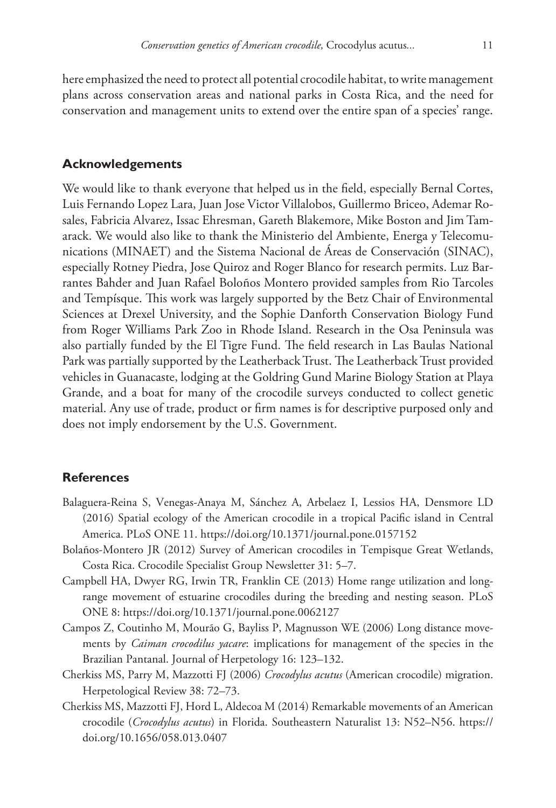here emphasized the need to protect all potential crocodile habitat, to write management plans across conservation areas and national parks in Costa Rica, and the need for conservation and management units to extend over the entire span of a species' range.

## **Acknowledgements**

We would like to thank everyone that helped us in the field, especially Bernal Cortes, Luis Fernando Lopez Lara, Juan Jose Victor Villalobos, Guillermo Briceo, Ademar Rosales, Fabricia Alvarez, Issac Ehresman, Gareth Blakemore, Mike Boston and Jim Tamarack. We would also like to thank the Ministerio del Ambiente, Energa y Telecomunications (MINAET) and the Sistema Nacional de Áreas de Conservación (SINAC), especially Rotney Piedra, Jose Quiroz and Roger Blanco for research permits. Luz Barrantes Bahder and Juan Rafael Boloños Montero provided samples from Rio Tarcoles and Tempísque. This work was largely supported by the Betz Chair of Environmental Sciences at Drexel University, and the Sophie Danforth Conservation Biology Fund from Roger Williams Park Zoo in Rhode Island. Research in the Osa Peninsula was also partially funded by the El Tigre Fund. The field research in Las Baulas National Park was partially supported by the Leatherback Trust. The Leatherback Trust provided vehicles in Guanacaste, lodging at the Goldring Gund Marine Biology Station at Playa Grande, and a boat for many of the crocodile surveys conducted to collect genetic material. Any use of trade, product or firm names is for descriptive purposed only and does not imply endorsement by the U.S. Government.

## **References**

- Balaguera-Reina S, Venegas-Anaya M, Sánchez A, Arbelaez I, Lessios HA, Densmore LD (2016) Spatial ecology of the American crocodile in a tropical Pacific island in Central America. PLoS ONE 11. <https://doi.org/10.1371/journal.pone.0157152>
- Bolaños-Montero JR (2012) Survey of American crocodiles in Tempisque Great Wetlands, Costa Rica. Crocodile Specialist Group Newsletter 31: 5–7.
- Campbell HA, Dwyer RG, Irwin TR, Franklin CE (2013) Home range utilization and longrange movement of estuarine crocodiles during the breeding and nesting season. PLoS ONE 8: <https://doi.org/10.1371/journal.pone.0062127>
- Campos Z, Coutinho M, Mourão G, Bayliss P, Magnusson WE (2006) Long distance movements by *Caiman crocodilus yacare*: implications for management of the species in the Brazilian Pantanal. Journal of Herpetology 16: 123–132.
- Cherkiss MS, Parry M, Mazzotti FJ (2006) *Crocodylus acutus* (American crocodile) migration. Herpetological Review 38: 72–73.
- Cherkiss MS, Mazzotti FJ, Hord L, Aldecoa M (2014) Remarkable movements of an American crocodile (*Crocodylus acutus*) in Florida. Southeastern Naturalist 13: N52–N56. [https://](https://doi.org/10.1656/058.013.0407) [doi.org/10.1656/058.013.0407](https://doi.org/10.1656/058.013.0407)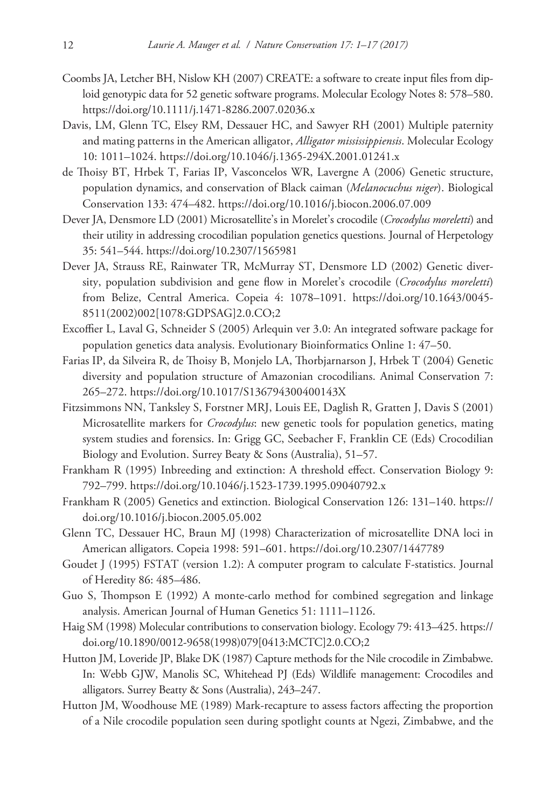- Coombs JA, Letcher BH, Nislow KH (2007) CREATE: a software to create input files from diploid genotypic data for 52 genetic software programs. Molecular Ecology Notes 8: 578–580. <https://doi.org/10.1111/j.1471-8286.2007.02036.x>
- Davis, LM, Glenn TC, Elsey RM, Dessauer HC, and Sawyer RH (2001) Multiple paternity and mating patterns in the American alligator, *Alligator mississippiensis*. Molecular Ecology 10: 1011–1024.<https://doi.org/10.1046/j.1365-294X.2001.01241.x>
- de Thoisy BT, Hrbek T, Farias IP, Vasconcelos WR, Lavergne A (2006) Genetic structure, population dynamics, and conservation of Black caiman (*Melanocuchus niger*). Biological Conservation 133: 474–482. <https://doi.org/10.1016/j.biocon.2006.07.009>
- Dever JA, Densmore LD (2001) Microsatellite's in Morelet's crocodile (*Crocodylus moreletti*) and their utility in addressing crocodilian population genetics questions. Journal of Herpetology 35: 541–544.<https://doi.org/10.2307/1565981>
- Dever JA, Strauss RE, Rainwater TR, McMurray ST, Densmore LD (2002) Genetic diversity, population subdivision and gene flow in Morelet's crocodile (*Crocodylus moreletti*) from Belize, Central America. Copeia 4: 1078–1091. [https://doi.org/10.1643/0045-](https://doi.org/10.1643/0045-8511(2002)002%5B1078:GDPSAG%5D2.0.CO;2) [8511\(2002\)002\[1078:GDPSAG\]2.0.CO;2](https://doi.org/10.1643/0045-8511(2002)002%5B1078:GDPSAG%5D2.0.CO;2)
- Excoffier L, Laval G, Schneider S (2005) Arlequin ver 3.0: An integrated software package for population genetics data analysis. Evolutionary Bioinformatics Online 1: 47–50.
- Farias IP, da Silveira R, de Thoisy B, Monjelo LA, Thorbjarnarson J, Hrbek T (2004) Genetic diversity and population structure of Amazonian crocodilians. Animal Conservation 7: 265–272.<https://doi.org/10.1017/S136794300400143X>
- Fitzsimmons NN, Tanksley S, Forstner MRJ, Louis EE, Daglish R, Gratten J, Davis S (2001) Microsatellite markers for *Crocodylus*: new genetic tools for population genetics, mating system studies and forensics. In: Grigg GC, Seebacher F, Franklin CE (Eds) Crocodilian Biology and Evolution. Surrey Beaty & Sons (Australia), 51–57.
- Frankham R (1995) Inbreeding and extinction: A threshold effect. Conservation Biology 9: 792–799.<https://doi.org/10.1046/j.1523-1739.1995.09040792.x>
- Frankham R (2005) Genetics and extinction. Biological Conservation 126: 131–140. [https://](https://doi.org/10.1016/j.biocon.2005.05.002) [doi.org/10.1016/j.biocon.2005.05.002](https://doi.org/10.1016/j.biocon.2005.05.002)
- Glenn TC, Dessauer HC, Braun MJ (1998) Characterization of microsatellite DNA loci in American alligators. Copeia 1998: 591–601. <https://doi.org/10.2307/1447789>
- Goudet J (1995) FSTAT (version 1.2): A computer program to calculate F-statistics. Journal of Heredity 86: 485–486.
- Guo S, Thompson E (1992) A monte-carlo method for combined segregation and linkage analysis. American Journal of Human Genetics 51: 1111–1126.
- Haig SM (1998) Molecular contributions to conservation biology. Ecology 79: 413–425. [https://](https://doi.org/10.1890/0012-9658(1998)079%5B0413:MCTC%5D2.0.CO;2) [doi.org/10.1890/0012-9658\(1998\)079\[0413:MCTC\]2.0.CO;2](https://doi.org/10.1890/0012-9658(1998)079%5B0413:MCTC%5D2.0.CO;2)
- Hutton JM, Loveride JP, Blake DK (1987) Capture methods for the Nile crocodile in Zimbabwe. In: Webb GJW, Manolis SC, Whitehead PJ (Eds) Wildlife management: Crocodiles and alligators. Surrey Beatty & Sons (Australia), 243–247.
- Hutton JM, Woodhouse ME (1989) Mark-recapture to assess factors affecting the proportion of a Nile crocodile population seen during spotlight counts at Ngezi, Zimbabwe, and the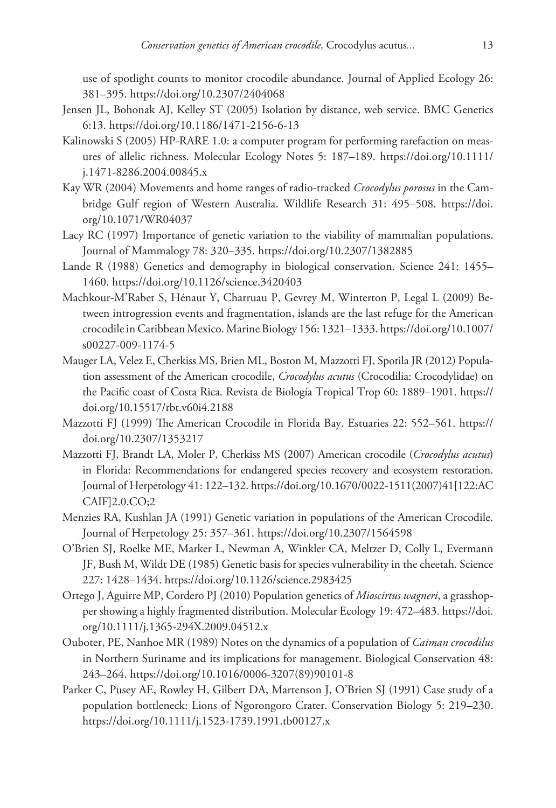use of spotlight counts to monitor crocodile abundance. Journal of Applied Ecology 26: 381–395.<https://doi.org/10.2307/2404068>

- Jensen JL, Bohonak AJ, Kelley ST (2005) Isolation by distance, web service. BMC Genetics 6:13. <https://doi.org/10.1186/1471-2156-6-13>
- Kalinowski S (2005) HP-RARE 1.0: a computer program for performing rarefaction on measures of allelic richness. Molecular Ecology Notes 5: 187–189. [https://doi.org/10.1111/](https://doi.org/10.1111/j.1471-8286.2004.00845.x) [j.1471-8286.2004.00845.x](https://doi.org/10.1111/j.1471-8286.2004.00845.x)
- Kay WR (2004) Movements and home ranges of radio-tracked *Crocodylus porosus* in the Cambridge Gulf region of Western Australia. Wildlife Research 31: 495–508. [https://doi.](https://doi.org/10.1071/WR04037) [org/10.1071/WR04037](https://doi.org/10.1071/WR04037)
- Lacy RC (1997) Importance of genetic variation to the viability of mammalian populations. Journal of Mammalogy 78: 320–335.<https://doi.org/10.2307/1382885>
- Lande R (1988) Genetics and demography in biological conservation. Science 241: 1455– 1460.<https://doi.org/10.1126/science.3420403>
- Machkour-M'Rabet S, Hénaut Y, Charruau P, Gevrey M, Winterton P, Legal L (2009) Between introgression events and fragmentation, islands are the last refuge for the American crocodile in Caribbean Mexico. Marine Biology 156: 1321–1333. [https://doi.org/10.1007/](https://doi.org/10.1007/s00227-009-1174-5) [s00227-009-1174-5](https://doi.org/10.1007/s00227-009-1174-5)
- Mauger LA, Velez E, Cherkiss MS, Brien ML, Boston M, Mazzotti FJ, Spotila JR (2012) Population assessment of the American crocodile, *Crocodylus acutus* (Crocodilia: Crocodylidae) on the Pacific coast of Costa Rica. Revista de Biología Tropical Trop 60: 1889–1901. [https://](https://doi.org/10.15517/rbt.v60i4.2188) [doi.org/10.15517/rbt.v60i4.2188](https://doi.org/10.15517/rbt.v60i4.2188)
- Mazzotti FJ (1999) The American Crocodile in Florida Bay. Estuaries 22: 552–561. [https://](https://doi.org/10.2307/1353217) [doi.org/10.2307/1353217](https://doi.org/10.2307/1353217)
- Mazzotti FJ, Brandt LA, Moler P, Cherkiss MS (2007) American crocodile (*Crocodylus acutus*) in Florida: Recommendations for endangered species recovery and ecosystem restoration. Journal of Herpetology 41: 122–132. [https://doi.org/10.1670/0022-1511\(2007\)41\[122:AC](https://doi.org/10.1670/0022-1511(2007)41%5B122:ACCAIF%5D2.0.CO;2) [CAIF\]2.0.CO;2](https://doi.org/10.1670/0022-1511(2007)41%5B122:ACCAIF%5D2.0.CO;2)
- Menzies RA, Kushlan JA (1991) Genetic variation in populations of the American Crocodile. Journal of Herpetology 25: 357–361. <https://doi.org/10.2307/1564598>
- O'Brien SJ, Roelke ME, Marker L, Newman A, Winkler CA, Meltzer D, Colly L, Evermann JF, Bush M, Wildt DE (1985) Genetic basis for species vulnerability in the cheetah. Science 227: 1428–1434. <https://doi.org/10.1126/science.2983425>
- Ortego J, Aguirre MP, Cordero PJ (2010) Population genetics of *Mioscirtus wagneri*, a grasshopper showing a highly fragmented distribution. Molecular Ecology 19: 472–483. [https://doi.](https://doi.org/10.1111/j.1365-294X.2009.04512.x) [org/10.1111/j.1365-294X.2009.04512.x](https://doi.org/10.1111/j.1365-294X.2009.04512.x)
- Ouboter, PE, Nanhoe MR (1989) Notes on the dynamics of a population of *Caiman crocodilus* in Northern Suriname and its implications for management. Biological Conservation 48: 243–264. [https://doi.org/10.1016/0006-3207\(89\)90101-8](https://doi.org/10.1016/0006-3207(89)90101-8)
- Parker C, Pusey AE, Rowley H, Gilbert DA, Martenson J, O'Brien SJ (1991) Case study of a population bottleneck: Lions of Ngorongoro Crater. Conservation Biology 5: 219–230. <https://doi.org/10.1111/j.1523-1739.1991.tb00127.x>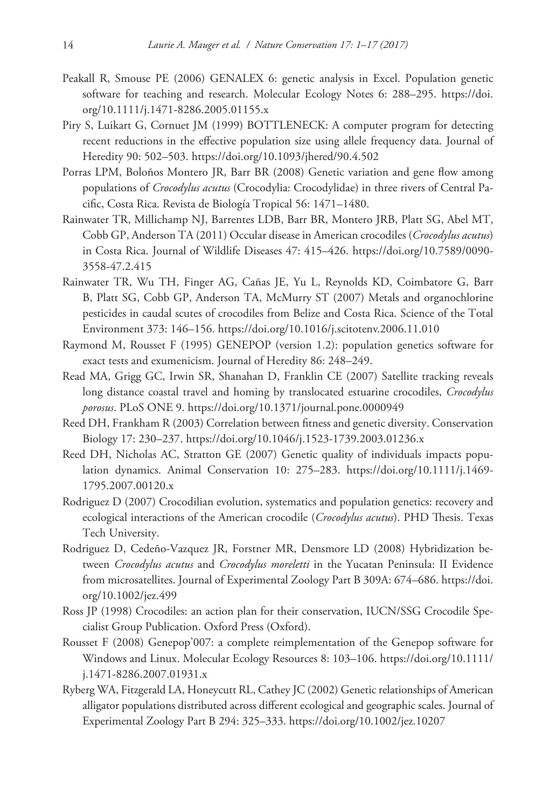- Peakall R, Smouse PE (2006) GENALEX 6: genetic analysis in Excel. Population genetic software for teaching and research. Molecular Ecology Notes 6: 288–295. [https://doi.](https://doi.org/10.1111/j.1471-8286.2005.01155.x) [org/10.1111/j.1471-8286.2005.01155.x](https://doi.org/10.1111/j.1471-8286.2005.01155.x)
- Piry S, Luikart G, Cornuet JM (1999) BOTTLENECK: A computer program for detecting recent reductions in the effective population size using allele frequency data. Journal of Heredity 90: 502–503.<https://doi.org/10.1093/jhered/90.4.502>
- Porras LPM, Boloños Montero JR, Barr BR (2008) Genetic variation and gene flow among populations of *Crocodylus acutus* (Crocodylia: Crocodylidae) in three rivers of Central Pacific, Costa Rica. Revista de Biología Tropical 56: 1471–1480.
- Rainwater TR, Millichamp NJ, Barrentes LDB, Barr BR, Montero JRB, Platt SG, Abel MT, Cobb GP, Anderson TA (2011) Occular disease in American crocodiles (*Crocodylus acutus*) in Costa Rica. Journal of Wildlife Diseases 47: 415–426. [https://doi.org/10.7589/0090-](https://doi.org/10.7589/0090-3558-47.2.415) [3558-47.2.415](https://doi.org/10.7589/0090-3558-47.2.415)
- Rainwater TR, Wu TH, Finger AG, Cañas JE, Yu L, Reynolds KD, Coimbatore G, Barr B, Platt SG, Cobb GP, Anderson TA, McMurry ST (2007) Metals and organochlorine pesticides in caudal scutes of crocodiles from Belize and Costa Rica. Science of the Total Environment 373: 146–156. <https://doi.org/10.1016/j.scitotenv.2006.11.010>
- Raymond M, Rousset F (1995) GENEPOP (version 1.2): population genetics software for exact tests and exumenicism. Journal of Heredity 86: 248–249.
- Read MA, Grigg GC, Irwin SR, Shanahan D, Franklin CE (2007) Satellite tracking reveals long distance coastal travel and homing by translocated estuarine crocodiles, *Crocodylus porosus*. PLoS ONE 9.<https://doi.org/10.1371/journal.pone.0000949>
- Reed DH, Frankham R (2003) Correlation between fitness and genetic diversity. Conservation Biology 17: 230–237. <https://doi.org/10.1046/j.1523-1739.2003.01236.x>
- Reed DH, Nicholas AC, Stratton GE (2007) Genetic quality of individuals impacts population dynamics. Animal Conservation 10: 275–283. [https://doi.org/10.1111/j.1469-](https://doi.org/10.1111/j.1469-1795.2007.00120.x) [1795.2007.00120.x](https://doi.org/10.1111/j.1469-1795.2007.00120.x)
- Rodriguez D (2007) Crocodilian evolution, systematics and population genetics: recovery and ecological interactions of the American crocodile (*Crocodylus acutus*). PHD Thesis. Texas Tech University.
- Rodriguez D, Cedeño-Vazquez JR, Forstner MR, Densmore LD (2008) Hybridization between *Crocodylus acutus* and *Crocodylus moreletti* in the Yucatan Peninsula: II Evidence from microsatellites. Journal of Experimental Zoology Part B 309A: 674–686. [https://doi.](https://doi.org/10.1002/jez.499) [org/10.1002/jez.499](https://doi.org/10.1002/jez.499)
- Ross JP (1998) Crocodiles: an action plan for their conservation, IUCN/SSG Crocodile Specialist Group Publication. Oxford Press (Oxford).
- Rousset F (2008) Genepop'007: a complete reimplementation of the Genepop software for Windows and Linux. Molecular Ecology Resources 8: 103–106. [https://doi.org/10.1111/](https://doi.org/10.1111/j.1471-8286.2007.01931.x) [j.1471-8286.2007.01931.x](https://doi.org/10.1111/j.1471-8286.2007.01931.x)
- Ryberg WA, Fitzgerald LA, Honeycutt RL, Cathey JC (2002) Genetic relationships of American alligator populations distributed across different ecological and geographic scales. Journal of Experimental Zoology Part B 294: 325–333.<https://doi.org/10.1002/jez.10207>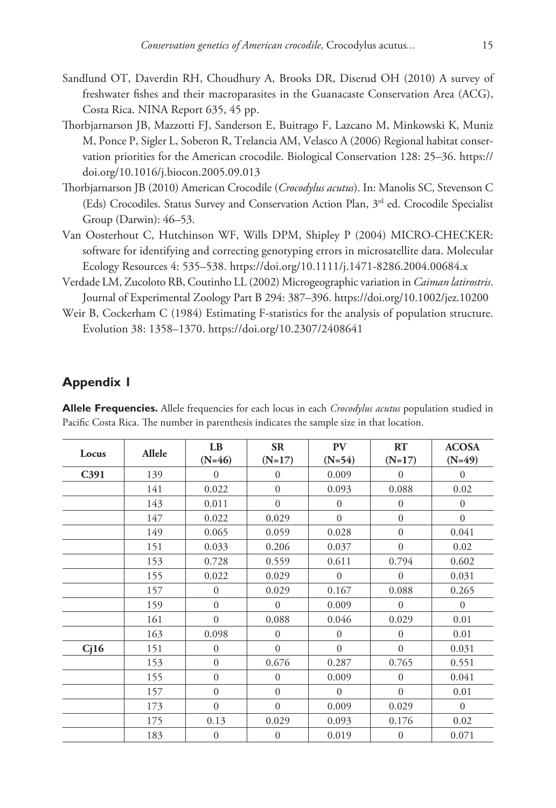- Sandlund OT, Daverdin RH, Choudhury A, Brooks DR, Diserud OH (2010) A survey of freshwater fishes and their macroparasites in the Guanacaste Conservation Area (ACG), Costa Rica. NINA Report 635, 45 pp.
- Thorbjarnarson JB, Mazzotti FJ, Sanderson E, Buitrago F, Lazcano M, Minkowski K, Muniz M, Ponce P, Sigler L, Soberon R, Trelancia AM, Velasco A (2006) Regional habitat conservation priorities for the American crocodile. Biological Conservation 128: 25–36. [https://](https://doi.org/10.1016/j.biocon.2005.09.013) [doi.org/10.1016/j.biocon.2005.09.013](https://doi.org/10.1016/j.biocon.2005.09.013)
- Thorbjarnarson JB (2010) American Crocodile (*Crocodylus acutus*). In: Manolis SC, Stevenson C (Eds) Crocodiles. Status Survey and Conservation Action Plan, 3rd ed. Crocodile Specialist Group (Darwin): 46–53.
- Van Oosterhout C, Hutchinson WF, Wills DPM, Shipley P (2004) MICRO-CHECKER: software for identifying and correcting genotyping errors in microsatellite data. Molecular Ecology Resources 4: 535–538.<https://doi.org/10.1111/j.1471-8286.2004.00684.x>
- Verdade LM, Zucoloto RB, Coutinho LL (2002) Microgeographic variation in *Caiman latirostris*. Journal of Experimental Zoology Part B 294: 387–396.<https://doi.org/10.1002/jez.10200>
- Weir B, Cockerham C (1984) Estimating F-statistics for the analysis of population structure. Evolution 38: 1358–1370.<https://doi.org/10.2307/2408641>

# **Appendix 1**

| <b>Allele Frequencies.</b> Allele frequencies for each locus in each <i>Crocodylus acutus</i> population studied in |  |  |  |  |
|---------------------------------------------------------------------------------------------------------------------|--|--|--|--|
| Pacific Costa Rica. The number in parenthesis indicates the sample size in that location.                           |  |  |  |  |
|                                                                                                                     |  |  |  |  |

| Locus            | Allele | LB<br>$(N=46)$   | <b>SR</b><br>$(N=17)$ | PV<br>$(N=54)$ | RT<br>$(N=17)$ | <b>ACOSA</b><br>$(N=49)$ |
|------------------|--------|------------------|-----------------------|----------------|----------------|--------------------------|
| C <sub>391</sub> | 139    | $\mathbf{0}$     | $\mathbf{0}$          | 0.009          | $\mathbf{0}$   | $\mathbf{0}$             |
|                  | 141    | 0.022            | $\mathbf{0}$          | 0.093          | 0.088          | 0.02                     |
|                  | 143    | 0.011            | $\mathbf{0}$          | $\mathbf{0}$   | $\mathbf{0}$   | $\mathbf{0}$             |
|                  | 147    | 0.022            | 0.029                 | $\mathbf{0}$   | $\Omega$       | $\mathbf{0}$             |
|                  | 149    | 0.065            | 0.059                 | 0.028          | $\theta$       | 0.041                    |
|                  | 151    | 0.033            | 0.206                 | 0.037          | $\Omega$       | 0.02                     |
|                  | 153    | 0.728            | 0.559                 | 0.611          | 0.794          | 0.602                    |
|                  | 155    | 0.022            | 0.029                 | $\mathbf{0}$   | $\mathbf{0}$   | 0.031                    |
|                  | 157    | $\Omega$         | 0.029                 | 0.167          | 0.088          | 0.265                    |
|                  | 159    | $\Omega$         | $\Omega$              | 0.009          | $\theta$       | $\mathbf{0}$             |
|                  | 161    | $\theta$         | 0.088                 | 0.046          | 0.029          | 0.01                     |
|                  | 163    | 0.098            | $\mathbf{0}$          | $\mathbf{0}$   | $\mathbf{0}$   | 0.01                     |
| Cj16             | 151    | $\overline{0}$   | $\mathbf{0}$          | $\mathbf{0}$   | $\overline{0}$ | 0.031                    |
|                  | 153    | $\theta$         | 0.676                 | 0.287          | 0.765          | 0.551                    |
|                  | 155    | $\mathbf{0}$     | $\mathbf{0}$          | 0.009          | $\Omega$       | 0.041                    |
|                  | 157    | $\overline{0}$   | $\mathbf{0}$          | $\Omega$       | $\Omega$       | 0.01                     |
|                  | 173    | $\overline{0}$   | $\mathbf{0}$          | 0.009          | 0.029          | $\mathbf{0}$             |
|                  | 175    | 0.13             | 0.029                 | 0.093          | 0.176          | 0.02                     |
|                  | 183    | $\boldsymbol{0}$ | $\mathbf{0}$          | 0.019          | $\mathbf{0}$   | 0.071                    |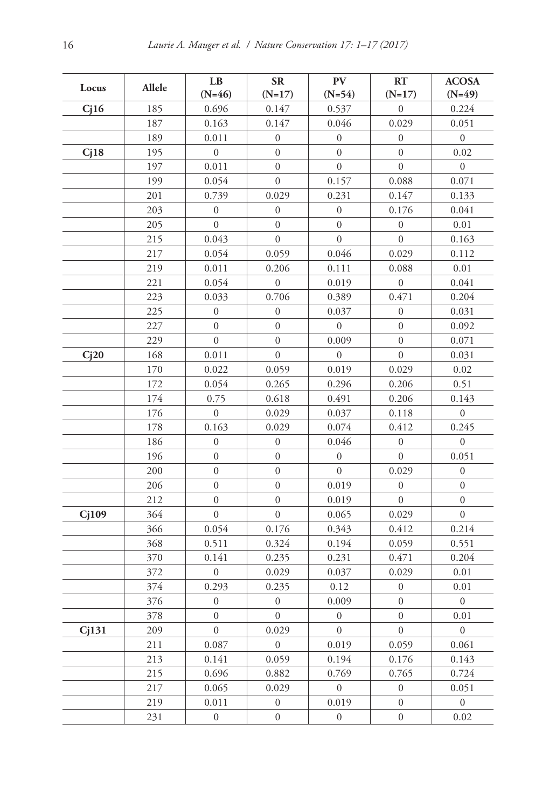|       |        | LB               | ${\bf SR}$       | ${\bf PV}$       | <b>RT</b>        | <b>ACOSA</b>     |
|-------|--------|------------------|------------------|------------------|------------------|------------------|
| Locus | Allele | $(N=46)$         | $(N=17)$         | $(N=54)$         | $(N=17)$         | $(N=49)$         |
| Cj16  | 185    | 0.696            | 0.147            | 0.537            | $\boldsymbol{0}$ | 0.224            |
|       | 187    | 0.163            | 0.147            | 0.046            | 0.029            | 0.051            |
|       | 189    | 0.011            | $\boldsymbol{0}$ | $\boldsymbol{0}$ | $\boldsymbol{0}$ | $\boldsymbol{0}$ |
| Cj18  | 195    | $\boldsymbol{0}$ | $\boldsymbol{0}$ | $\boldsymbol{0}$ | $\boldsymbol{0}$ | 0.02             |
|       | 197    | 0.011            | $\boldsymbol{0}$ | $\boldsymbol{0}$ | $\boldsymbol{0}$ | $\boldsymbol{0}$ |
|       | 199    | 0.054            | $\boldsymbol{0}$ | 0.157            | 0.088            | 0.071            |
|       | 201    | 0.739            | 0.029            | 0.231            | 0.147            | 0.133            |
|       | 203    | $\boldsymbol{0}$ | $\boldsymbol{0}$ | $\boldsymbol{0}$ | 0.176            | 0.041            |
|       | 205    | $\overline{0}$   | $\boldsymbol{0}$ | $\boldsymbol{0}$ | $\boldsymbol{0}$ | 0.01             |
|       | 215    | 0.043            | $\boldsymbol{0}$ | $\boldsymbol{0}$ | $\boldsymbol{0}$ | 0.163            |
|       | 217    | 0.054            | 0.059            | 0.046            | 0.029            | 0.112            |
|       | 219    | 0.011            | 0.206            | 0.111            | 0.088            | 0.01             |
|       | 221    | 0.054            | $\boldsymbol{0}$ | 0.019            | $\boldsymbol{0}$ | 0.041            |
|       | 223    | 0.033            | 0.706            | 0.389            | 0.471            | 0.204            |
|       | 225    | $\boldsymbol{0}$ | $\mathbf{0}$     | 0.037            | $\boldsymbol{0}$ | 0.031            |
|       | 227    | $\mathbf{0}$     | $\boldsymbol{0}$ | $\boldsymbol{0}$ | $\boldsymbol{0}$ | 0.092            |
|       | 229    | $\boldsymbol{0}$ | $\boldsymbol{0}$ | 0.009            | $\mathbf{0}$     | 0.071            |
| Cj20  | 168    | 0.011            | $\boldsymbol{0}$ | $\boldsymbol{0}$ | $\overline{0}$   | 0.031            |
|       | 170    | 0.022            | 0.059            | 0.019            | 0.029            | 0.02             |
|       | 172    | 0.054            | 0.265            | 0.296            | 0.206            | 0.51             |
|       | 174    | 0.75             | 0.618            | 0.491            | 0.206            | 0.143            |
|       | 176    | $\boldsymbol{0}$ | 0.029            | 0.037            | 0.118            | $\boldsymbol{0}$ |
|       | 178    | 0.163            | 0.029            | 0.074            | 0.412            | 0.245            |
|       | 186    | $\boldsymbol{0}$ | $\boldsymbol{0}$ | 0.046            | $\boldsymbol{0}$ | $\boldsymbol{0}$ |
|       | 196    | $\mathbf{0}$     | $\boldsymbol{0}$ | $\boldsymbol{0}$ | $\boldsymbol{0}$ | 0.051            |
|       | 200    | $\boldsymbol{0}$ | $\boldsymbol{0}$ | $\boldsymbol{0}$ | 0.029            | $\boldsymbol{0}$ |
|       | 206    | $\mathbf{0}$     | $\boldsymbol{0}$ | 0.019            | $\boldsymbol{0}$ | $\boldsymbol{0}$ |
|       | 212    | $\mathbf{0}$     | $\boldsymbol{0}$ | 0.019            | $\mathbf{0}$     | $\boldsymbol{0}$ |
| Cj109 | 364    | $\mathbf{0}$     | $\boldsymbol{0}$ | 0.065            | 0.029            | $\boldsymbol{0}$ |
|       | 366    | 0.054            | 0.176            | 0.343            | 0.412            | 0.214            |
|       | 368    | 0.511            | 0.324            | 0.194            | 0.059            | 0.551            |
|       | 370    | 0.141            | 0.235            | 0.231            | 0.471            | 0.204            |
|       | 372    | $\boldsymbol{0}$ | 0.029            | 0.037            | 0.029            | 0.01             |
|       | 374    | 0.293            | 0.235            | 0.12             | $\boldsymbol{0}$ | 0.01             |
|       | 376    | $\overline{0}$   | $\overline{0}$   | 0.009            | $\mathbf{0}$     | $\overline{0}$   |
|       | 378    | $\boldsymbol{0}$ | $\overline{0}$   | $\boldsymbol{0}$ | $\boldsymbol{0}$ | 0.01             |
| Cj131 | 209    | $\boldsymbol{0}$ | 0.029            | $\boldsymbol{0}$ | $\boldsymbol{0}$ | $\boldsymbol{0}$ |
|       | 211    | 0.087            | $\boldsymbol{0}$ | 0.019            | 0.059            | 0.061            |
|       | 213    | 0.141            | 0.059            | 0.194            | 0.176            | 0.143            |
|       | 215    | 0.696            | 0.882            | 0.769            | 0.765            | 0.724            |
|       | 217    | 0.065            | 0.029            | $\boldsymbol{0}$ | $\boldsymbol{0}$ | 0.051            |
|       | 219    | 0.011            | $\boldsymbol{0}$ | 0.019            | $\boldsymbol{0}$ | $\boldsymbol{0}$ |
|       | 231    | $\boldsymbol{0}$ | $\boldsymbol{0}$ | $\boldsymbol{0}$ | $\boldsymbol{0}$ | 0.02             |